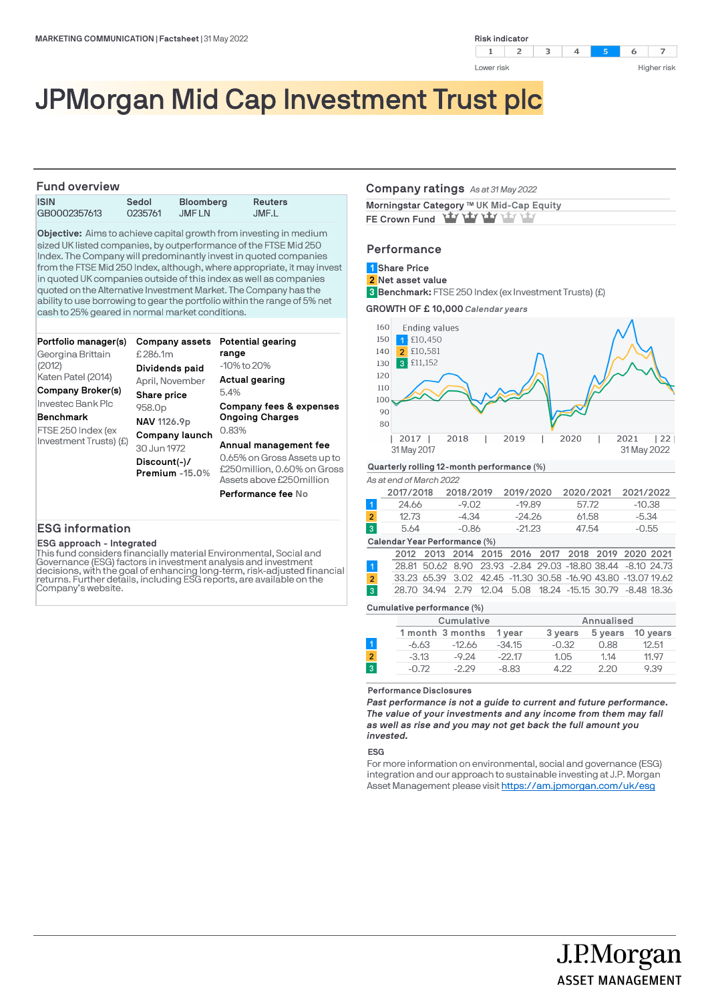

# JPMorgan Mid Cap Investment Trust plc

### **Fund overview ISIN Sedol Bloomberg Reuters** GB0002357613

**Objective:** Aims to achieve capital growth from investing in medium sized UK listed companies, by outperformance of the FTSE Mid 250 Index. The Company will predominantly invest in quoted companies from the FTSE Mid 250 Index, although, where appropriate, it may invest in quoted UK companies outside of this index as well as companies quoted on the Alternative Investment Market. The Company has the ability to use borrowing to gear the portfolio within the range of 5% net cash to 25% geared in normal market conditions.

| Portfolio manager(s)<br>Georgina Brittain    | Company assets<br>£286.1m           | Potential gearing<br>range                                                               |  |  |
|----------------------------------------------|-------------------------------------|------------------------------------------------------------------------------------------|--|--|
| (2012)<br>Katen Patel (2014)                 | Dividends paid<br>April, November   | $-10\%$ to $20\%$<br>Actual gearing                                                      |  |  |
| Company Broker(s)                            | Share price                         | 5.4%                                                                                     |  |  |
| Investec Bank Plc                            | 958.0 <sub>p</sub>                  | Company fees & expenses                                                                  |  |  |
| <b>Benchmark</b>                             | NAV 1126.9p                         | <b>Ongoing Charges</b>                                                                   |  |  |
| FTSE 250 Index (ex<br>Investment Trusts) (£) | Company launch                      | 0.83%                                                                                    |  |  |
|                                              | 30 Jun 1972                         | Annual management fee                                                                    |  |  |
|                                              | $Discount(-)/$<br>Premium $-15.0\%$ | 0.65% on Gross Assets up to<br>£250 million, 0.60% on Gross<br>Assets above £250 million |  |  |
|                                              |                                     | <b>Performance fee No</b>                                                                |  |  |

# **ESG information**

### **ESG approach - Integrated**

This fund considers financially material Environmental, Social and Governance (ESG) factors in investment analysis and investment<br>decisions, with the goal of enhancing long-term, risk-adjusted financial<br>returns. Further details, including ESG reports, are available on the<br>Company's websit

### **Company ratings** *As at 31 May 2022*

| Morningstar Category ™ UK Mid-Cap Equity |  |
|------------------------------------------|--|
| FE Crown Fund Yay Yay Yay Yay            |  |

# **Performance**

# **Share Price 1**

**Net asset value 2**

**Benchmark:** FTSE 250 Index (ex Investment Trusts) (£) **3**





#### *As at end of March 2022*

|                | 2017/2018 | 2018/2019 | 2019/2020 | 2020/2021 | 2021/2022 |
|----------------|-----------|-----------|-----------|-----------|-----------|
|                | 24.66     | $-9.02$   | $-19.89$  | 57.72     | $-10.38$  |
| $\overline{2}$ | 12.73     | -4.34     | $-24.26$  | 61.58     | $-5.34$   |
| $\overline{3}$ | 5.64      | $-0.86$   | $-21.23$  | 47.54     | $-0.55$   |
|                |           |           |           |           |           |

#### **Calendar Year Performance (%)**

|                |  |  |  |  | 2012 2013 2014 2015 2016 2017 2018 2019 2020 2021             |
|----------------|--|--|--|--|---------------------------------------------------------------|
|                |  |  |  |  | 28.81 50.62 8.90 23.93 -2.84 29.03 -18.80 38.44 -8.10 24.73   |
| $\mathbf{2}$   |  |  |  |  | 33.23 65.39 3.02 42.45 -11.30 30.58 -16.90 43.80 -13.07 19.62 |
| $\overline{3}$ |  |  |  |  | 28.70 34.94 2.79 12.04 5.08 18.24 -15.15 30.79 -8.48 18.36    |

# **Cumulative performance (%)**

|   |         | Cumulative       |          |         | Annualised |          |
|---|---------|------------------|----------|---------|------------|----------|
|   |         | 1 month 3 months | 1 vear   | 3 years | 5 years    | 10 years |
|   | -6.63   | -12.66           | $-34.15$ | $-0.32$ | 0.88       | 12.51    |
| 2 | $-3.13$ | $-9.24$          | $-22.17$ | 1.05    | 1.14       | 11.97    |
| 3 | $-0.72$ | $-2.29$          | $-8.83$  | 1 77    | 2.20       | 9.39     |
|   |         |                  |          |         |            |          |

### **Performance Disclosures**

*Past performance is not a guide to current and future performance. The value of your investments and any income from them may fall as well as rise and you may not get back the full amount you invested.* 

### **ESG**

For more information on environmental, social and governance (ESG) integration and our approach to sustainable investing at J.P. Morgan Asset Management please visit https://am.jpmorgan.com/uk/esg

J.P.Morgan

**ASSET MANAGEMENT**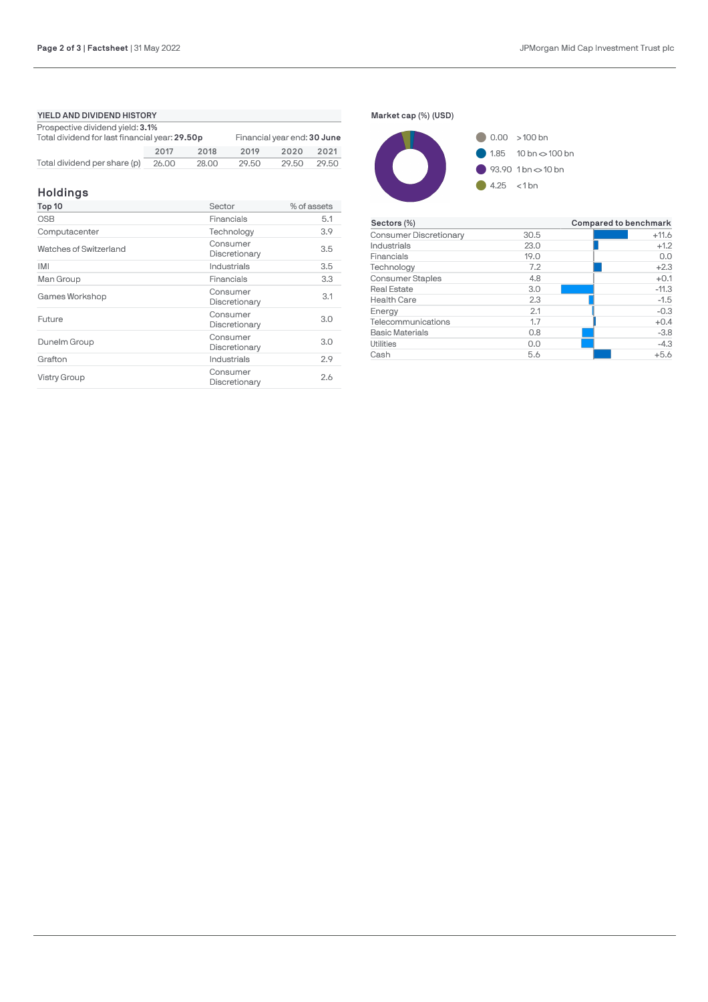# **YIELD AND DIVIDEND HISTORY** Prospective dividend yield: **3.1%** Total dividend for last financial year: **29.50p** Financial year end: **30 June** n

|                                    | 2017 | 2018  | 2019  | 2020 2021   |  |
|------------------------------------|------|-------|-------|-------------|--|
| Total dividend per share (p) 26.00 |      | 28.00 | 29.50 | 29.50 29.50 |  |

# **Holdings**

| Top 10                 | Sector                    | % of assets |  |
|------------------------|---------------------------|-------------|--|
| <b>OSB</b>             | Financials                | 5.1         |  |
| Computacenter          | Technology                | 3.9         |  |
| Watches of Switzerland | Consumer<br>Discretionary | 3.5         |  |
| <b>IMI</b>             | Industrials               | 3.5         |  |
| Man Group              | Financials                | 3.3         |  |
| Games Workshop         | Consumer<br>Discretionary | 3.1         |  |
| Future                 | Consumer<br>Discretionary | 3.0         |  |
| Dunelm Group           | Consumer<br>Discretionary | 3.0         |  |
| Grafton                | Industrials               | 2.9         |  |
| <b>Vistry Group</b>    | Consumer<br>Discretionary | 2.6         |  |





| Sectors (%)                   |      | Compared to benchmark |
|-------------------------------|------|-----------------------|
| <b>Consumer Discretionary</b> | 30.5 | $+11.6$               |
| Industrials                   | 23.0 | $+1.2$                |
| Financials                    | 19.0 | 0.0                   |
| Technology                    | 7.2  | $+2.3$                |
| <b>Consumer Staples</b>       | 4.8  | $+0.1$                |
| <b>Real Estate</b>            | 3.0  | $-11.3$               |
| <b>Health Care</b>            | 2.3  | $-1.5$                |
| Energy                        | 2.1  | $-0.3$                |
| Telecommunications            | 1.7  | $+0.4$                |
| <b>Basic Materials</b>        | 0.8  | $-3.8$                |
| <b>Utilities</b>              | 0.0  | $-4.3$                |
| Cash                          | 5.6  | $+5.6$                |